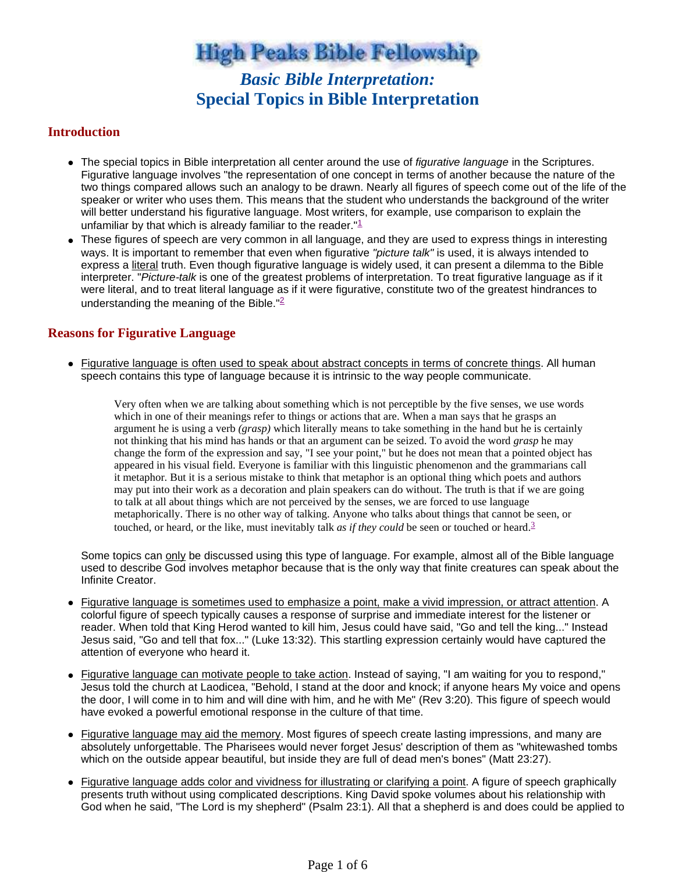**High Peaks Bible Fellowship** 

# *Basic Bible Interpretation:* **Special Topics in Bible Interpretation**

#### **Introduction**

- The special topics in Bible interpretation all center around the use of figurative language in the Scriptures. Figurative language involves "the representation of one concept in terms of another because the nature of the two things compared allows such an analogy to be drawn. Nearly all figures of speech come out of the life of the speaker or writer who uses them. This means that the student who understands the background of the writer will better understand his figurative language. Most writers, for example, use comparison to explain the unfamiliar by that which is already familiar to the reader. $"1$
- These figures of speech are very common in all language, and they are used to express things in interesting ways. It is important to remember that even when figurative "picture talk" is used, it is always intended to express a literal truth. Even though figurative language is widely used, it can present a dilemma to the Bible interpreter. "Picture-talk is one of the greatest problems of interpretation. To treat figurative language as if it were literal, and to treat literal language as if it were figurative, constitute two of the greatest hindrances to understanding the meaning of the Bible."<sup>2</sup>

### **Reasons for Figurative Language**

• Figurative language is often used to speak about abstract concepts in terms of concrete things. All human speech contains this type of language because it is intrinsic to the way people communicate.

Very often when we are talking about something which is not perceptible by the five senses, we use words which in one of their meanings refer to things or actions that are. When a man says that he grasps an argument he is using a verb *(grasp)* which literally means to take something in the hand but he is certainly not thinking that his mind has hands or that an argument can be seized. To avoid the word *grasp* he may change the form of the expression and say, "I see your point," but he does not mean that a pointed object has appeared in his visual field. Everyone is familiar with this linguistic phenomenon and the grammarians call it metaphor. But it is a serious mistake to think that metaphor is an optional thing which poets and authors may put into their work as a decoration and plain speakers can do without. The truth is that if we are going to talk at all about things which are not perceived by the senses, we are forced to use language metaphorically. There is no other way of talking. Anyone who talks about things that cannot be seen, or touched, or heard, or the like, must inevitably talk *as if they could* be seen or touched or heard.<sup>3</sup>

Some topics can only be discussed using this type of language. For example, almost all of the Bible language used to describe God involves metaphor because that is the only way that finite creatures can speak about the Infinite Creator.

- Figurative language is sometimes used to emphasize a point, make a vivid impression, or attract attention. A colorful figure of speech typically causes a response of surprise and immediate interest for the listener or reader. When told that King Herod wanted to kill him, Jesus could have said, "Go and tell the king..." Instead Jesus said, "Go and tell that fox..." (Luke 13:32). This startling expression certainly would have captured the attention of everyone who heard it.
- Figurative language can motivate people to take action. Instead of saying, "I am waiting for you to respond," Jesus told the church at Laodicea, "Behold, I stand at the door and knock; if anyone hears My voice and opens the door, I will come in to him and will dine with him, and he with Me" (Rev 3:20). This figure of speech would have evoked a powerful emotional response in the culture of that time.
- Figurative language may aid the memory. Most figures of speech create lasting impressions, and many are absolutely unforgettable. The Pharisees would never forget Jesus' description of them as "whitewashed tombs which on the outside appear beautiful, but inside they are full of dead men's bones" (Matt 23:27).
- Figurative language adds color and vividness for illustrating or clarifying a point. A figure of speech graphically presents truth without using complicated descriptions. King David spoke volumes about his relationship with God when he said, "The Lord is my shepherd" (Psalm 23:1). All that a shepherd is and does could be applied to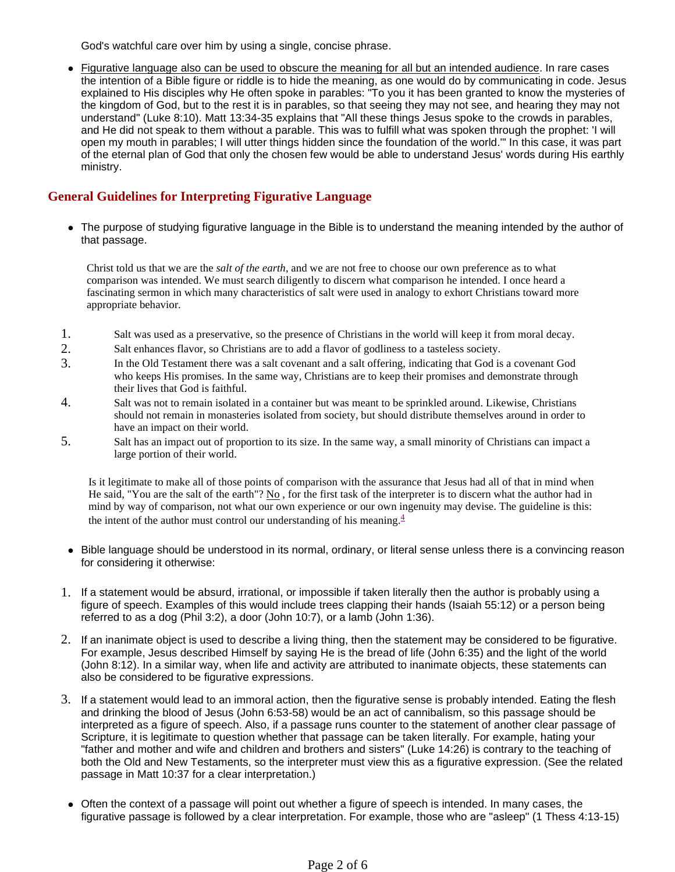God's watchful care over him by using a single, concise phrase.

 Figurative language also can be used to obscure the meaning for all but an intended audience. In rare cases the intention of a Bible figure or riddle is to hide the meaning, as one would do by communicating in code. Jesus explained to His disciples why He often spoke in parables: "To you it has been granted to know the mysteries of the kingdom of God, but to the rest it is in parables, so that seeing they may not see, and hearing they may not understand" (Luke 8:10). Matt 13:34-35 explains that "All these things Jesus spoke to the crowds in parables, and He did not speak to them without a parable. This was to fulfill what was spoken through the prophet: 'I will open my mouth in parables; I will utter things hidden since the foundation of the world.'" In this case, it was part of the eternal plan of God that only the chosen few would be able to understand Jesus' words during His earthly ministry.

### **General Guidelines for Interpreting Figurative Language**

 The purpose of studying figurative language in the Bible is to understand the meaning intended by the author of that passage.

Christ told us that we are the *salt of the earth*, and we are not free to choose our own preference as to what comparison was intended. We must search diligently to discern what comparison he intended. I once heard a fascinating sermon in which many characteristics of salt were used in analogy to exhort Christians toward more appropriate behavior.

- 1. Salt was used as a preservative, so the presence of Christians in the world will keep it from moral decay.
- 2. Salt enhances flavor, so Christians are to add a flavor of godliness to a tasteless society.
- 3. In the Old Testament there was a salt covenant and a salt offering, indicating that God is a covenant God who keeps His promises. In the same way, Christians are to keep their promises and demonstrate through their lives that God is faithful.
- 4. Salt was not to remain isolated in a container but was meant to be sprinkled around. Likewise, Christians should not remain in monasteries isolated from society, but should distribute themselves around in order to have an impact on their world.
- 5. Salt has an impact out of proportion to its size. In the same way, a small minority of Christians can impact a large portion of their world.

Is it legitimate to make all of those points of comparison with the assurance that Jesus had all of that in mind when He said, "You are the salt of the earth"? No , for the first task of the interpreter is to discern what the author had in mind by way of comparison, not what our own experience or our own ingenuity may devise. The guideline is this: the intent of the author must control our understanding of his meaning. $4$ 

- Bible language should be understood in its normal, ordinary, or literal sense unless there is a convincing reason for considering it otherwise:
- 1. If a statement would be absurd, irrational, or impossible if taken literally then the author is probably using a figure of speech. Examples of this would include trees clapping their hands (Isaiah 55:12) or a person being referred to as a dog (Phil 3:2), a door (John 10:7), or a lamb (John 1:36).
- 2. If an inanimate object is used to describe a living thing, then the statement may be considered to be figurative. For example, Jesus described Himself by saying He is the bread of life (John 6:35) and the light of the world (John 8:12). In a similar way, when life and activity are attributed to inanimate objects, these statements can also be considered to be figurative expressions.
- 3. If a statement would lead to an immoral action, then the figurative sense is probably intended. Eating the flesh and drinking the blood of Jesus (John 6:53-58) would be an act of cannibalism, so this passage should be interpreted as a figure of speech. Also, if a passage runs counter to the statement of another clear passage of Scripture, it is legitimate to question whether that passage can be taken literally. For example, hating your "father and mother and wife and children and brothers and sisters" (Luke 14:26) is contrary to the teaching of both the Old and New Testaments, so the interpreter must view this as a figurative expression. (See the related passage in Matt 10:37 for a clear interpretation.)
- Often the context of a passage will point out whether a figure of speech is intended. In many cases, the figurative passage is followed by a clear interpretation. For example, those who are "asleep" (1 Thess 4:13-15)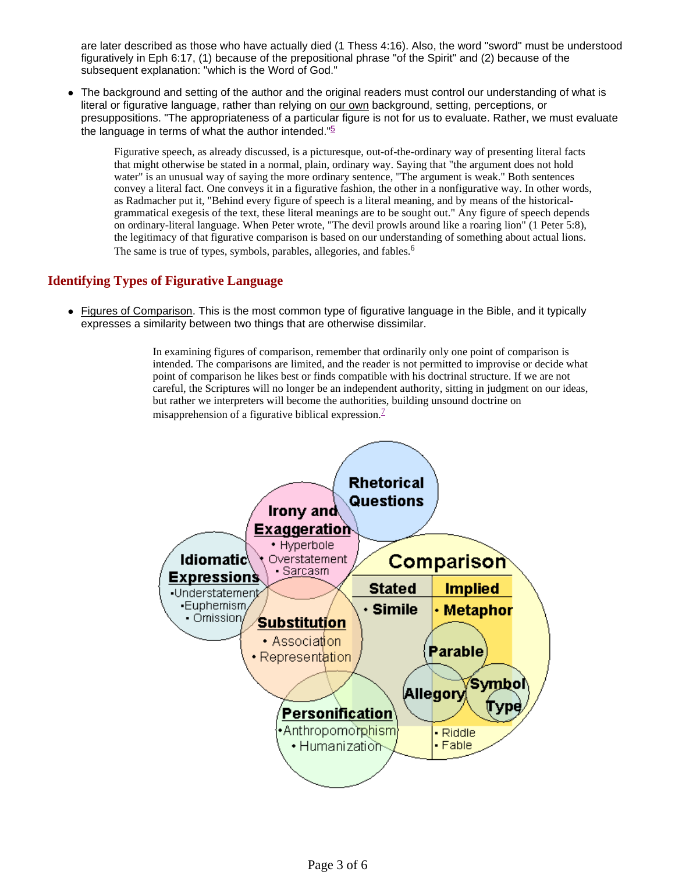are later described as those who have actually died (1 Thess 4:16). Also, the word "sword" must be understood figuratively in Eph 6:17, (1) because of the prepositional phrase "of the Spirit" and (2) because of the subsequent explanation: "which is the Word of God."

• The background and setting of the author and the original readers must control our understanding of what is literal or figurative language, rather than relying on our own background, setting, perceptions, or presuppositions. "The appropriateness of a particular figure is not for us to evaluate. Rather, we must evaluate the language in terms of what the author intended." $\frac{5}{2}$ 

Figurative speech, as already discussed, is a picturesque, out-of-the-ordinary way of presenting literal facts that might otherwise be stated in a normal, plain, ordinary way. Saying that "the argument does not hold water" is an unusual way of saying the more ordinary sentence, "The argument is weak." Both sentences convey a literal fact. One conveys it in a figurative fashion, the other in a nonfigurative way. In other words, as Radmacher put it, "Behind every figure of speech is a literal meaning, and by means of the historicalgrammatical exegesis of the text, these literal meanings are to be sought out." Any figure of speech depends on ordinary-literal language. When Peter wrote, "The devil prowls around like a roaring lion" (1 Peter 5:8), the legitimacy of that figurative comparison is based on our understanding of something about actual lions. The same is true of types, symbols, parables, allegories, and fables.<sup>6</sup>

### **Identifying Types of Figurative Language**

 Figures of Comparison. This is the most common type of figurative language in the Bible, and it typically expresses a similarity between two things that are otherwise dissimilar.

> In examining figures of comparison, remember that ordinarily only one point of comparison is intended. The comparisons are limited, and the reader is not permitted to improvise or decide what point of comparison he likes best or finds compatible with his doctrinal structure. If we are not careful, the Scriptures will no longer be an independent authority, sitting in judgment on our ideas, but rather we interpreters will become the authorities, building unsound doctrine on misapprehension of a figurative biblical expression.<sup>7</sup>

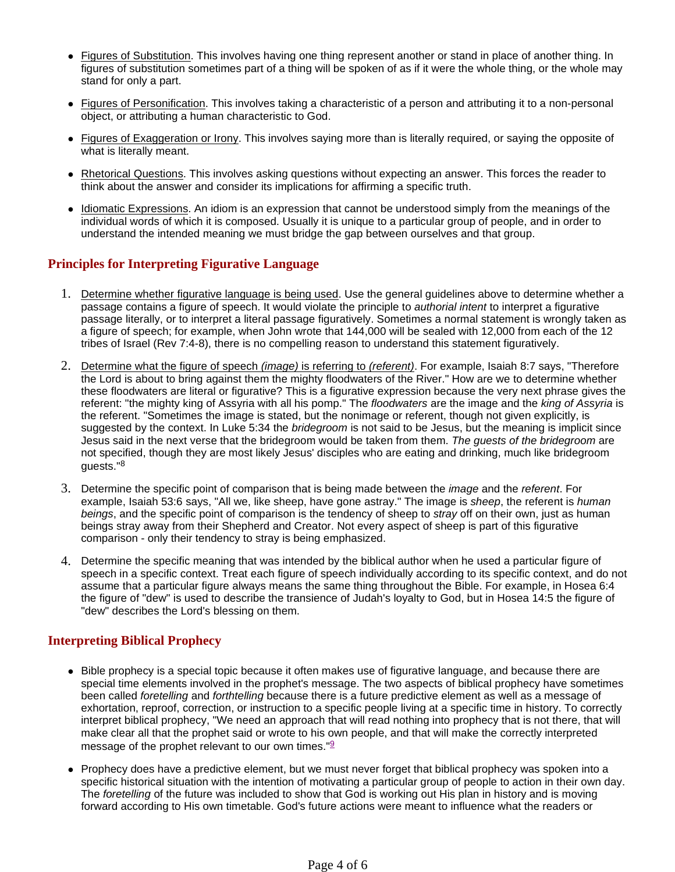- Figures of Substitution. This involves having one thing represent another or stand in place of another thing. In figures of substitution sometimes part of a thing will be spoken of as if it were the whole thing, or the whole may stand for only a part.
- Figures of Personification. This involves taking a characteristic of a person and attributing it to a non-personal object, or attributing a human characteristic to God.
- Figures of Exaggeration or Irony. This involves saying more than is literally required, or saying the opposite of what is literally meant.
- Rhetorical Questions. This involves asking questions without expecting an answer. This forces the reader to think about the answer and consider its implications for affirming a specific truth.
- Idiomatic Expressions. An idiom is an expression that cannot be understood simply from the meanings of the individual words of which it is composed. Usually it is unique to a particular group of people, and in order to understand the intended meaning we must bridge the gap between ourselves and that group.

### **Principles for Interpreting Figurative Language**

- 1. Determine whether figurative language is being used. Use the general guidelines above to determine whether a passage contains a figure of speech. It would violate the principle to authorial intent to interpret a figurative passage literally, or to interpret a literal passage figuratively. Sometimes a normal statement is wrongly taken as a figure of speech; for example, when John wrote that 144,000 will be sealed with 12,000 from each of the 12 tribes of Israel (Rev 7:4-8), there is no compelling reason to understand this statement figuratively.
- 2. Determine what the figure of speech *(image)* is referring to *(referent)*. For example, Isaiah 8:7 says, "Therefore the Lord is about to bring against them the mighty floodwaters of the River." How are we to determine whether these floodwaters are literal or figurative? This is a figurative expression because the very next phrase gives the referent: "the mighty king of Assyria with all his pomp." The floodwaters are the image and the king of Assyria is the referent. "Sometimes the image is stated, but the nonimage or referent, though not given explicitly, is suggested by the context. In Luke 5:34 the *bridegroom* is not said to be Jesus, but the meaning is implicit since Jesus said in the next verse that the bridegroom would be taken from them. The guests of the bridegroom are not specified, though they are most likely Jesus' disciples who are eating and drinking, much like bridegroom guests."<sup>8</sup>
- 3. Determine the specific point of comparison that is being made between the image and the referent. For example, Isaiah 53:6 says, "All we, like sheep, have gone astray." The image is sheep, the referent is human beings, and the specific point of comparison is the tendency of sheep to *stray* off on their own, just as human beings stray away from their Shepherd and Creator. Not every aspect of sheep is part of this figurative comparison - only their tendency to stray is being emphasized.
- 4. Determine the specific meaning that was intended by the biblical author when he used a particular figure of speech in a specific context. Treat each figure of speech individually according to its specific context, and do not assume that a particular figure always means the same thing throughout the Bible. For example, in Hosea 6:4 the figure of "dew" is used to describe the transience of Judah's loyalty to God, but in Hosea 14:5 the figure of "dew" describes the Lord's blessing on them.

# **Interpreting Biblical Prophecy**

- Bible prophecy is a special topic because it often makes use of figurative language, and because there are special time elements involved in the prophet's message. The two aspects of biblical prophecy have sometimes been called foretelling and forthtelling because there is a future predictive element as well as a message of exhortation, reproof, correction, or instruction to a specific people living at a specific time in history. To correctly interpret biblical prophecy, "We need an approach that will read nothing into prophecy that is not there, that will make clear all that the prophet said or wrote to his own people, and that will make the correctly interpreted message of the prophet relevant to our own times." $9$
- Prophecy does have a predictive element, but we must never forget that biblical prophecy was spoken into a specific historical situation with the intention of motivating a particular group of people to action in their own day. The foretelling of the future was included to show that God is working out His plan in history and is moving forward according to His own timetable. God's future actions were meant to influence what the readers or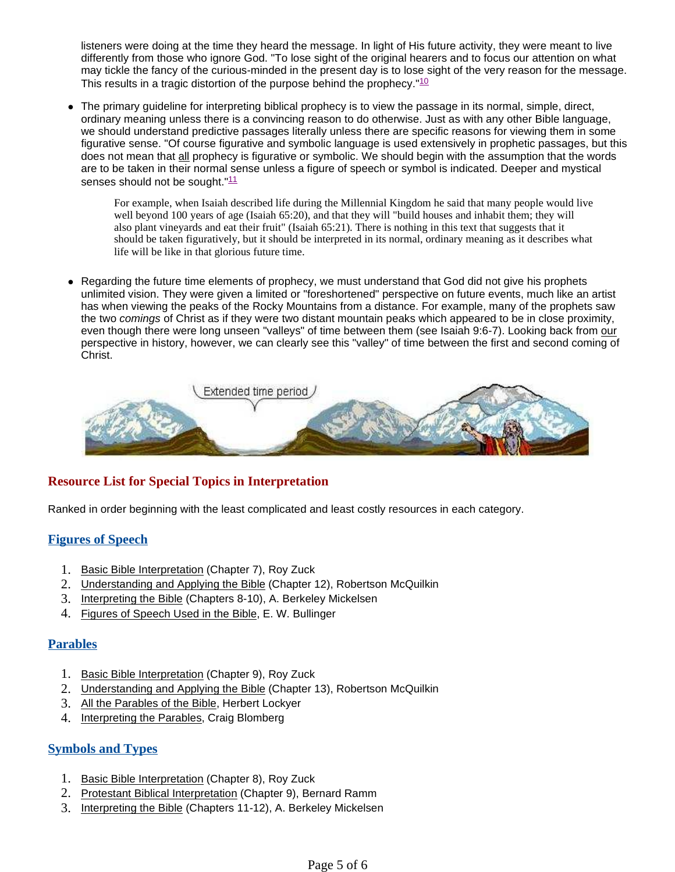listeners were doing at the time they heard the message. In light of His future activity, they were meant to live differently from those who ignore God. "To lose sight of the original hearers and to focus our attention on what may tickle the fancy of the curious-minded in the present day is to lose sight of the very reason for the message. This results in a tragic distortion of the purpose behind the prophecy.  $10$ 

 The primary guideline for interpreting biblical prophecy is to view the passage in its normal, simple, direct, ordinary meaning unless there is a convincing reason to do otherwise. Just as with any other Bible language, we should understand predictive passages literally unless there are specific reasons for viewing them in some figurative sense. "Of course figurative and symbolic language is used extensively in prophetic passages, but this does not mean that all prophecy is figurative or symbolic. We should begin with the assumption that the words are to be taken in their normal sense unless a figure of speech or symbol is indicated. Deeper and mystical senses should not be sought."<sup>11</sup>

For example, when Isaiah described life during the Millennial Kingdom he said that many people would live well beyond 100 years of age (Isaiah 65:20), and that they will "build houses and inhabit them; they will also plant vineyards and eat their fruit" (Isaiah 65:21). There is nothing in this text that suggests that it should be taken figuratively, but it should be interpreted in its normal, ordinary meaning as it describes what life will be like in that glorious future time.

• Regarding the future time elements of prophecy, we must understand that God did not give his prophets unlimited vision. They were given a limited or "foreshortened" perspective on future events, much like an artist has when viewing the peaks of the Rocky Mountains from a distance. For example, many of the prophets saw the two comings of Christ as if they were two distant mountain peaks which appeared to be in close proximity, even though there were long unseen "valleys" of time between them (see Isaiah 9:6-7). Looking back from our perspective in history, however, we can clearly see this "valley" of time between the first and second coming of Christ.



# **Resource List for Special Topics in Interpretation**

Ranked in order beginning with the least complicated and least costly resources in each category.

# **Figures of Speech**

- 1. Basic Bible Interpretation (Chapter 7), Roy Zuck
- 2. Understanding and Applying the Bible (Chapter 12), Robertson McQuilkin
- 3. Interpreting the Bible (Chapters 8-10), A. Berkeley Mickelsen
- 4. Figures of Speech Used in the Bible, E. W. Bullinger

### **Parables**

- 1. Basic Bible Interpretation (Chapter 9), Roy Zuck
- 2. Understanding and Applying the Bible (Chapter 13), Robertson McQuilkin
- 3. All the Parables of the Bible, Herbert Lockyer
- 4. Interpreting the Parables, Craig Blomberg

# **Symbols and Types**

- 1. Basic Bible Interpretation (Chapter 8), Roy Zuck
- 2. Protestant Biblical Interpretation (Chapter 9), Bernard Ramm
- 3. Interpreting the Bible (Chapters 11-12), A. Berkeley Mickelsen